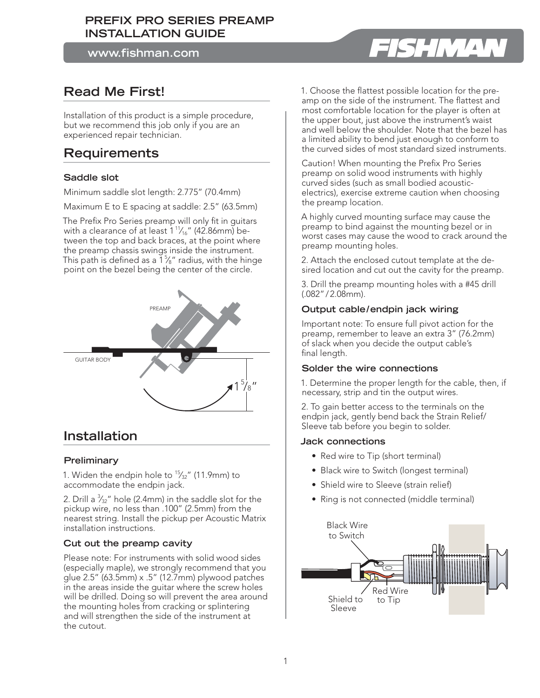# **PREFIX PRO SERIES PREAMP INSTALLATION GUIDE**

**www.fishman.com**

# **Read Me First!**

Installation of this product is a simple procedure, but we recommend this job only if you are an experienced repair technician.

# **Requirements**

# **Saddle slot**

Minimum saddle slot length: 2.775" (70.4mm)

Maximum E to E spacing at saddle: 2.5" (63.5mm)

The Prefix Pro Series preamp will only fit in guitars with a clearance of at least  $1\frac{1}{16}$ " (42.86mm) between the top and back braces, at the point where the preamp chassis swings inside the instrument. This path is defined as a  $1\%$  radius, with the hinge point on the bezel being the center of the circle.



# **Installation**

# **Preliminary**

1. Widen the endpin hole to  $\frac{15}{32}$ " (11.9mm) to accommodate the endpin jack.

2. Drill a  $\frac{3}{32}$ " hole (2.4mm) in the saddle slot for the pickup wire, no less than .100" (2.5mm) from the nearest string. Install the pickup per Acoustic Matrix installation instructions.

# **Cut out the preamp cavity**

Please note: For instruments with solid wood sides (especially maple), we strongly recommend that you glue 2.5" (63.5mm) x .5" (12.7mm) plywood patches in the areas inside the guitar where the screw holes will be drilled. Doing so will prevent the area around the mounting holes from cracking or splintering and will strengthen the side of the instrument at the cutout.

1. Choose the flattest possible location for the preamp on the side of the instrument. The flattest and most comfortable location for the player is often at the upper bout, just above the instrument's waist and well below the shoulder. Note that the bezel has a limited ability to bend just enough to conform to the curved sides of most standard sized instruments.

Caution! When mounting the Prefix Pro Series preamp on solid wood instruments with highly curved sides (such as small bodied acousticelectrics), exercise extreme caution when choosing the preamp location.

A highly curved mounting surface may cause the preamp to bind against the mounting bezel or in worst cases may cause the wood to crack around the preamp mounting holes.

2. Attach the enclosed cutout template at the desired location and cut out the cavity for the preamp.

3. Drill the preamp mounting holes with a #45 drill (.082" / 2.08mm).

#### **Output cable / endpin jack wiring**

Important note: To ensure full pivot action for the preamp, remember to leave an extra 3" (76.2mm) of slack when you decide the output cable's final length.

# **Solder the wire connections**

1. Determine the proper length for the cable, then, if necessary, strip and tin the output wires.

2. To gain better access to the terminals on the endpin jack, gently bend back the Strain Relief/ Sleeve tab before you begin to solder.

#### **Jack connections**

- Red wire to Tip (short terminal)
- Black wire to Switch (longest terminal)
- Shield wire to Sleeve (strain relief)
- Ring is not connected (middle terminal)



# **HIMA**